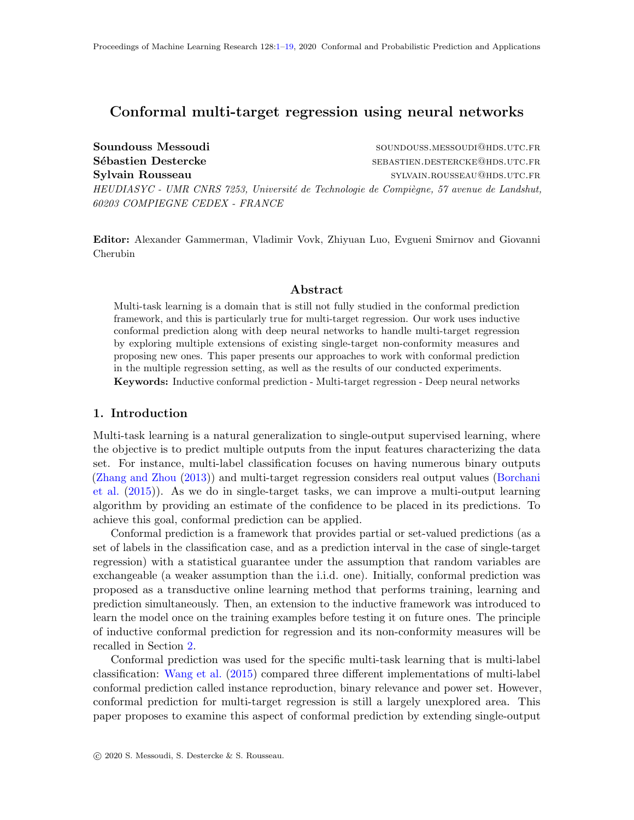# <span id="page-0-0"></span>Conformal multi-target regression using neural networks

Soundouss Messoudi soundouss.messouding and soundouss.messouding soundouss.messouding and soundous Messouding  $\mathbb{R}$ Sébastien Destercke sebastien.destercke sebastien.destercke@hds.utc.fr Sylvain Rousseau sylvain.Rousseau sylvain.Rousseau sylvain.Rousseau sylvain.Rousseau sylvain. HEUDIASYC - UMR CNRS 7253, Université de Technologie de Compiègne, 57 avenue de Landshut, 60203 COMPIEGNE CEDEX - FRANCE

Editor: Alexander Gammerman, Vladimir Vovk, Zhiyuan Luo, Evgueni Smirnov and Giovanni Cherubin

## Abstract

Multi-task learning is a domain that is still not fully studied in the conformal prediction framework, and this is particularly true for multi-target regression. Our work uses inductive conformal prediction along with deep neural networks to handle multi-target regression by exploring multiple extensions of existing single-target non-conformity measures and proposing new ones. This paper presents our approaches to work with conformal prediction in the multiple regression setting, as well as the results of our conducted experiments. Keywords: Inductive conformal prediction - Multi-target regression - Deep neural networks

## 1. Introduction

Multi-task learning is a natural generalization to single-output supervised learning, where the objective is to predict multiple outputs from the input features characterizing the data set. For instance, multi-label classification focuses on having numerous binary outputs [\(Zhang and Zhou](#page-18-1) [\(2013\)](#page-18-1)) and multi-target regression considers real output values [\(Borchani](#page-16-0) [et al.](#page-16-0) [\(2015\)](#page-16-0)). As we do in single-target tasks, we can improve a multi-output learning algorithm by providing an estimate of the confidence to be placed in its predictions. To achieve this goal, conformal prediction can be applied.

Conformal prediction is a framework that provides partial or set-valued predictions (as a set of labels in the classification case, and as a prediction interval in the case of single-target regression) with a statistical guarantee under the assumption that random variables are exchangeable (a weaker assumption than the i.i.d. one). Initially, conformal prediction was proposed as a transductive online learning method that performs training, learning and prediction simultaneously. Then, an extension to the inductive framework was introduced to learn the model once on the training examples before testing it on future ones. The principle of inductive conformal prediction for regression and its non-conformity measures will be recalled in Section [2.](#page-1-0)

Conformal prediction was used for the specific multi-task learning that is multi-label classification: [Wang et al.](#page-18-2) [\(2015\)](#page-18-2) compared three different implementations of multi-label conformal prediction called instance reproduction, binary relevance and power set. However, conformal prediction for multi-target regression is still a largely unexplored area. This paper proposes to examine this aspect of conformal prediction by extending single-output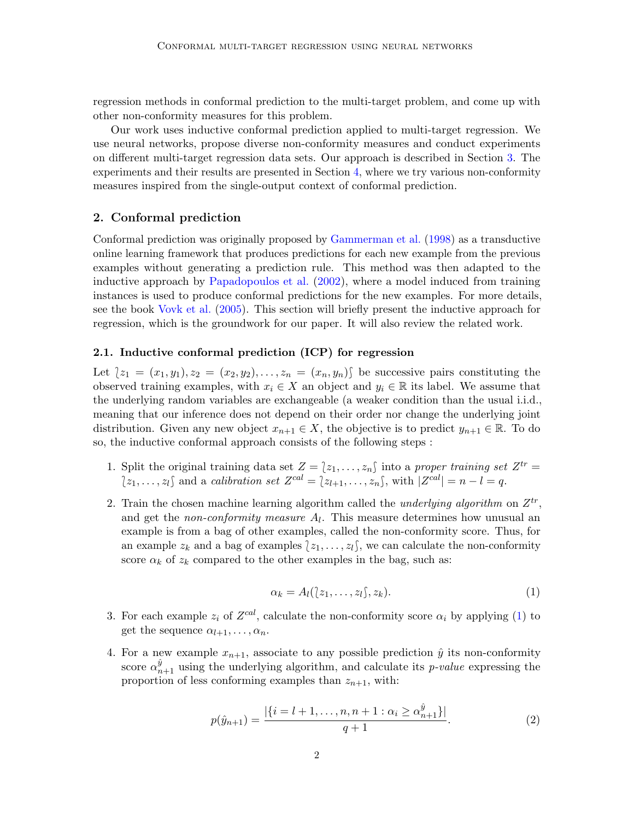regression methods in conformal prediction to the multi-target problem, and come up with other non-conformity measures for this problem.

Our work uses inductive conformal prediction applied to multi-target regression. We use neural networks, propose diverse non-conformity measures and conduct experiments on different multi-target regression data sets. Our approach is described in Section [3.](#page-4-0) The experiments and their results are presented in Section [4,](#page-6-0) where we try various non-conformity measures inspired from the single-output context of conformal prediction.

## <span id="page-1-0"></span>2. Conformal prediction

Conformal prediction was originally proposed by [Gammerman et al.](#page-16-1) [\(1998\)](#page-16-1) as a transductive online learning framework that produces predictions for each new example from the previous examples without generating a prediction rule. This method was then adapted to the inductive approach by [Papadopoulos et al.](#page-17-0) [\(2002\)](#page-17-0), where a model induced from training instances is used to produce conformal predictions for the new examples. For more details, see the book [Vovk et al.](#page-18-3) [\(2005\)](#page-18-3). This section will briefly present the inductive approach for regression, which is the groundwork for our paper. It will also review the related work.

## <span id="page-1-2"></span>2.1. Inductive conformal prediction (ICP) for regression

Let  ${z_1 = (x_1, y_1), z_2 = (x_2, y_2), \ldots, z_n = (x_n, y_n)}$  be successive pairs constituting the observed training examples, with  $x_i \in X$  an object and  $y_i \in \mathbb{R}$  its label. We assume that the underlying random variables are exchangeable (a weaker condition than the usual i.i.d., meaning that our inference does not depend on their order nor change the underlying joint distribution. Given any new object  $x_{n+1} \in X$ , the objective is to predict  $y_{n+1} \in \mathbb{R}$ . To do so, the inductive conformal approach consists of the following steps :

- 1. Split the original training data set  $Z = \{z_1, \ldots, z_n\}$  into a proper training set  $Z^{tr} =$ <br> $\frac{1}{z} \sum_{r=0}^{\infty} \frac{z_r}{r}$  into a proper training set  $Z^{tr} =$  $\{z_1, \ldots, z_l\}$  and a calibration set  $Z^{cal} = \{z_{l+1}, \ldots, z_n\}$ , with  $|Z^{cal}| = n - l = q$ .
- 2. Train the chosen machine learning algorithm called the *underlying algorithm* on  $Z^{tr}$ , and get the *non-conformity measure*  $A_l$ . This measure determines how unusual an example is from a bag of other examples, called the non-conformity score. Thus, for an example  $z_k$  and a bag of examples  $\{z_1, \ldots, z_l\}$ , we can calculate the non-conformity score  $\alpha_k$  of  $z_k$  compared to the other examples in the bag, such as:

<span id="page-1-1"></span>
$$
\alpha_k = A_l(\{z_1, \ldots, z_l\}, z_k). \tag{1}
$$

- 3. For each example  $z_i$  of  $Z^{cal}$ , calculate the non-conformity score  $\alpha_i$  by applying [\(1\)](#page-1-1) to get the sequence  $\alpha_{l+1}, \ldots, \alpha_n$ .
- 4. For a new example  $x_{n+1}$ , associate to any possible prediction  $\hat{y}$  its non-conformity score  $\alpha_{n+1}^{\hat{y}}$  using the underlying algorithm, and calculate its *p-value* expressing the proportion of less conforming examples than  $z_{n+1}$ , with:

$$
p(\hat{y}_{n+1}) = \frac{|\{i = l+1, \dots, n, n+1 : \alpha_i \ge \alpha_{n+1}^{\hat{y}}\}|}{q+1}.
$$
 (2)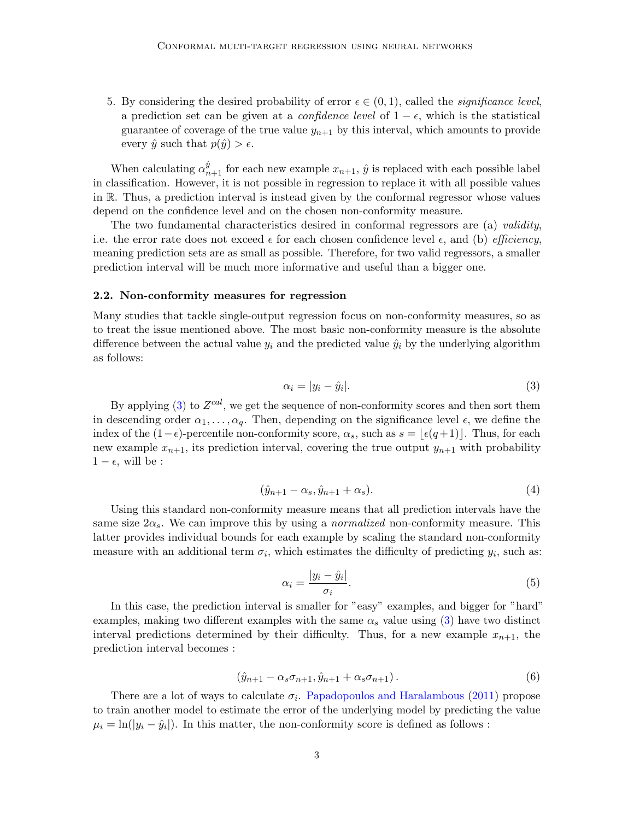5. By considering the desired probability of error  $\epsilon \in (0,1)$ , called the *significance level*, a prediction set can be given at a *confidence level* of  $1 - \epsilon$ , which is the statistical guarantee of coverage of the true value  $y_{n+1}$  by this interval, which amounts to provide every  $\hat{y}$  such that  $p(\hat{y}) > \epsilon$ .

When calculating  $\alpha_{n+1}^{\hat{y}}$  for each new example  $x_{n+1}$ ,  $\hat{y}$  is replaced with each possible label in classification. However, it is not possible in regression to replace it with all possible values in R. Thus, a prediction interval is instead given by the conformal regressor whose values depend on the confidence level and on the chosen non-conformity measure.

The two fundamental characteristics desired in conformal regressors are (a) validity, i.e. the error rate does not exceed  $\epsilon$  for each chosen confidence level  $\epsilon$ , and (b) *efficiency*, meaning prediction sets are as small as possible. Therefore, for two valid regressors, a smaller prediction interval will be much more informative and useful than a bigger one.

## 2.2. Non-conformity measures for regression

Many studies that tackle single-output regression focus on non-conformity measures, so as to treat the issue mentioned above. The most basic non-conformity measure is the absolute difference between the actual value  $y_i$  and the predicted value  $\hat{y}_i$  by the underlying algorithm as follows:

<span id="page-2-0"></span>
$$
\alpha_i = |y_i - \hat{y}_i|.\tag{3}
$$

By applying [\(3\)](#page-2-0) to  $Z^{cal}$ , we get the sequence of non-conformity scores and then sort them in descending order  $\alpha_1, \ldots, \alpha_q$ . Then, depending on the significance level  $\epsilon$ , we define the index of the  $(1-\epsilon)$ -percentile non-conformity score,  $\alpha_s$ , such as  $s = |\epsilon(q+1)|$ . Thus, for each new example  $x_{n+1}$ , its prediction interval, covering the true output  $y_{n+1}$  with probability  $1 - \epsilon$ , will be :

$$
(\hat{y}_{n+1} - \alpha_s, \hat{y}_{n+1} + \alpha_s). \tag{4}
$$

Using this standard non-conformity measure means that all prediction intervals have the same size  $2\alpha_s$ . We can improve this by using a *normalized* non-conformity measure. This latter provides individual bounds for each example by scaling the standard non-conformity measure with an additional term  $\sigma_i$ , which estimates the difficulty of predicting  $y_i$ , such as:

$$
\alpha_i = \frac{|y_i - \hat{y}_i|}{\sigma_i}.\tag{5}
$$

In this case, the prediction interval is smaller for "easy" examples, and bigger for "hard" examples, making two different examples with the same  $\alpha_s$  value using [\(3\)](#page-2-0) have two distinct interval predictions determined by their difficulty. Thus, for a new example  $x_{n+1}$ , the prediction interval becomes :

$$
(\hat{y}_{n+1} - \alpha_s \sigma_{n+1}, \hat{y}_{n+1} + \alpha_s \sigma_{n+1}). \tag{6}
$$

There are a lot of ways to calculate  $\sigma_i$ . [Papadopoulos and Haralambous](#page-17-1) [\(2011\)](#page-17-1) propose to train another model to estimate the error of the underlying model by predicting the value  $\mu_i = \ln(|y_i - \hat{y}_i|)$ . In this matter, the non-conformity score is defined as follows :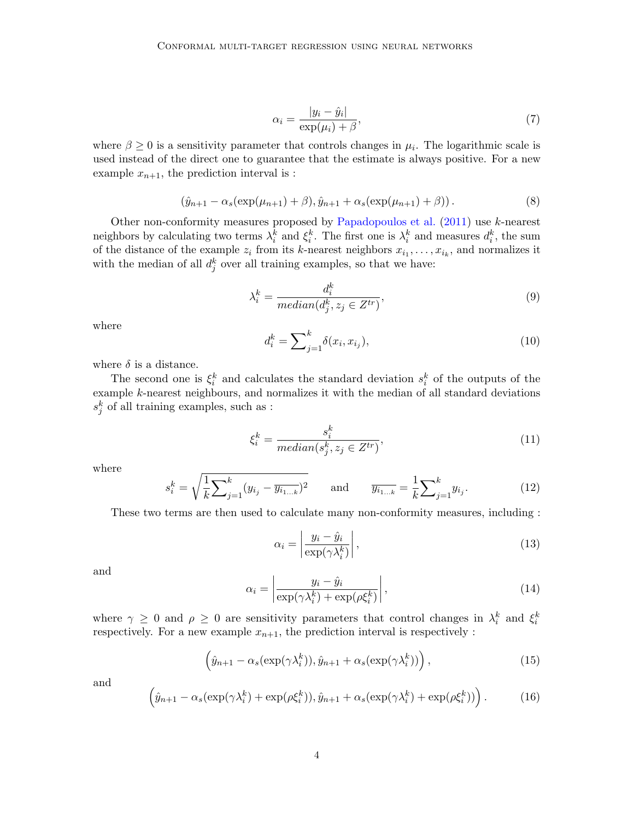<span id="page-3-0"></span>
$$
\alpha_i = \frac{|y_i - \hat{y}_i|}{\exp(\mu_i) + \beta},\tag{7}
$$

where  $\beta \geq 0$  is a sensitivity parameter that controls changes in  $\mu_i$ . The logarithmic scale is used instead of the direct one to guarantee that the estimate is always positive. For a new example  $x_{n+1}$ , the prediction interval is :

$$
(\hat{y}_{n+1} - \alpha_s(\exp(\mu_{n+1}) + \beta), \hat{y}_{n+1} + \alpha_s(\exp(\mu_{n+1}) + \beta)).
$$
\n(8)

Other non-conformity measures proposed by [Papadopoulos et al.](#page-17-2) [\(2011\)](#page-17-2) use k-nearest neighbors by calculating two terms  $\lambda_i^k$  and  $\xi_i^k$ . The first one is  $\lambda_i^k$  and measures  $d_i^k$ , the sum of the distance of the example  $z_i$  from its k-nearest neighbors  $x_{i_1}, \ldots, x_{i_k}$ , and normalizes it with the median of all  $d_j^k$  over all training examples, so that we have:

$$
\lambda_i^k = \frac{d_i^k}{median(d_j^k, z_j \in Z^{tr})},\tag{9}
$$

where

$$
d_i^k = \sum_{j=1}^k \delta(x_i, x_{i_j}),
$$
\n(10)

where  $\delta$  is a distance.

The second one is  $\xi_i^k$  and calculates the standard deviation  $s_i^k$  of the outputs of the example k-nearest neighbours, and normalizes it with the median of all standard deviations  $s_j^k$  of all training examples, such as :

$$
\xi_i^k = \frac{s_i^k}{\text{median}(s_j^k, z_j \in Z^{tr})},\tag{11}
$$

where

$$
s_i^k = \sqrt{\frac{1}{k} \sum_{j=1}^k (y_{i_j} - \overline{y_{i_{1...k}}})^2} \quad \text{and} \quad \overline{y_{i_{1...k}}} = \frac{1}{k} \sum_{j=1}^k y_{i_j}.
$$
 (12)

These two terms are then used to calculate many non-conformity measures, including :

<span id="page-3-1"></span>
$$
\alpha_i = \left| \frac{y_i - \hat{y}_i}{\exp(\gamma \lambda_i^k)} \right|,\tag{13}
$$

and

<span id="page-3-2"></span>
$$
\alpha_i = \left| \frac{y_i - \hat{y}_i}{\exp(\gamma \lambda_i^k) + \exp(\rho \xi_i^k)} \right|,
$$
\n(14)

where  $\gamma \geq 0$  and  $\rho \geq 0$  are sensitivity parameters that control changes in  $\lambda_i^k$  and  $\xi_i^k$ respectively. For a new example  $x_{n+1}$ , the prediction interval is respectively :

$$
\left(\hat{y}_{n+1} - \alpha_s(\exp(\gamma \lambda_i^k)), \hat{y}_{n+1} + \alpha_s(\exp(\gamma \lambda_i^k))\right),\tag{15}
$$

and

$$
\left(\hat{y}_{n+1} - \alpha_s(\exp(\gamma \lambda_i^k) + \exp(\rho \xi_i^k)), \hat{y}_{n+1} + \alpha_s(\exp(\gamma \lambda_i^k) + \exp(\rho \xi_i^k))\right). \tag{16}
$$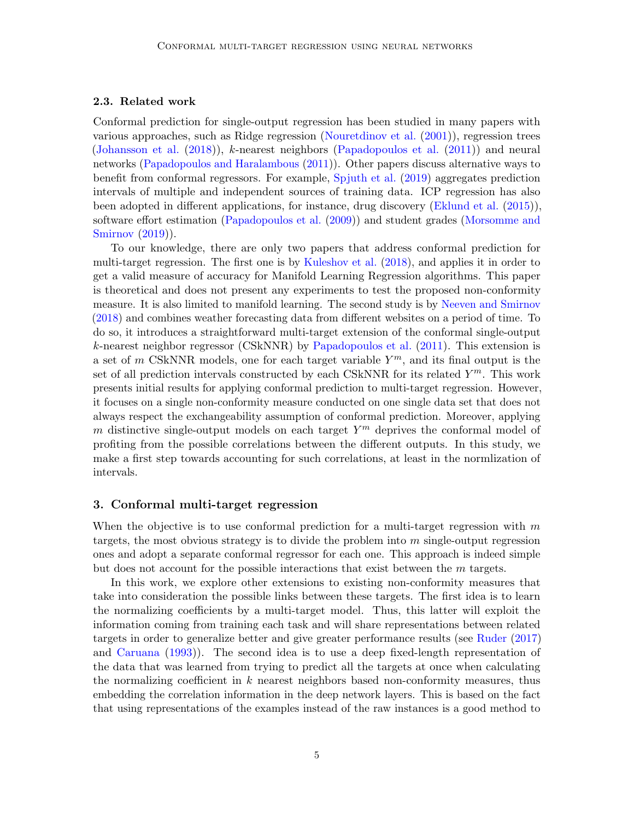#### 2.3. Related work

Conformal prediction for single-output regression has been studied in many papers with various approaches, such as Ridge regression [\(Nouretdinov et al.](#page-17-3) [\(2001\)](#page-17-3)), regression trees [\(Johansson et al.](#page-16-2) [\(2018\)](#page-16-2)), k-nearest neighbors [\(Papadopoulos et al.](#page-17-2) [\(2011\)](#page-17-2)) and neural networks [\(Papadopoulos and Haralambous](#page-17-1) [\(2011\)](#page-17-1)). Other papers discuss alternative ways to benefit from conformal regressors. For example, [Spjuth et al.](#page-17-4) [\(2019\)](#page-17-4) aggregates prediction intervals of multiple and independent sources of training data. ICP regression has also been adopted in different applications, for instance, drug discovery [\(Eklund et al.](#page-16-3) [\(2015\)](#page-16-3)), software effort estimation [\(Papadopoulos et al.](#page-17-5) [\(2009\)](#page-17-5)) and student grades [\(Morsomme and](#page-17-6) [Smirnov](#page-17-6) [\(2019\)](#page-17-6)).

To our knowledge, there are only two papers that address conformal prediction for multi-target regression. The first one is by [Kuleshov et al.](#page-17-7) [\(2018\)](#page-17-7), and applies it in order to get a valid measure of accuracy for Manifold Learning Regression algorithms. This paper is theoretical and does not present any experiments to test the proposed non-conformity measure. It is also limited to manifold learning. The second study is by [Neeven and Smirnov](#page-17-8) [\(2018\)](#page-17-8) and combines weather forecasting data from different websites on a period of time. To do so, it introduces a straightforward multi-target extension of the conformal single-output k-nearest neighbor regressor (CSkNNR) by [Papadopoulos et al.](#page-17-2) [\(2011\)](#page-17-2). This extension is a set of m CSkNNR models, one for each target variable  $Y^m$ , and its final output is the set of all prediction intervals constructed by each CSkNNR for its related  $Y^m$ . This work presents initial results for applying conformal prediction to multi-target regression. However, it focuses on a single non-conformity measure conducted on one single data set that does not always respect the exchangeability assumption of conformal prediction. Moreover, applying m distinctive single-output models on each target  $Y^m$  deprives the conformal model of profiting from the possible correlations between the different outputs. In this study, we make a first step towards accounting for such correlations, at least in the normlization of intervals.

#### <span id="page-4-0"></span>3. Conformal multi-target regression

When the objective is to use conformal prediction for a multi-target regression with  $m$ targets, the most obvious strategy is to divide the problem into  $m$  single-output regression ones and adopt a separate conformal regressor for each one. This approach is indeed simple but does not account for the possible interactions that exist between the m targets.

In this work, we explore other extensions to existing non-conformity measures that take into consideration the possible links between these targets. The first idea is to learn the normalizing coefficients by a multi-target model. Thus, this latter will exploit the information coming from training each task and will share representations between related targets in order to generalize better and give greater performance results (see [Ruder](#page-17-9) [\(2017\)](#page-17-9) and [Caruana](#page-16-4) [\(1993\)](#page-16-4)). The second idea is to use a deep fixed-length representation of the data that was learned from trying to predict all the targets at once when calculating the normalizing coefficient in  $k$  nearest neighbors based non-conformity measures, thus embedding the correlation information in the deep network layers. This is based on the fact that using representations of the examples instead of the raw instances is a good method to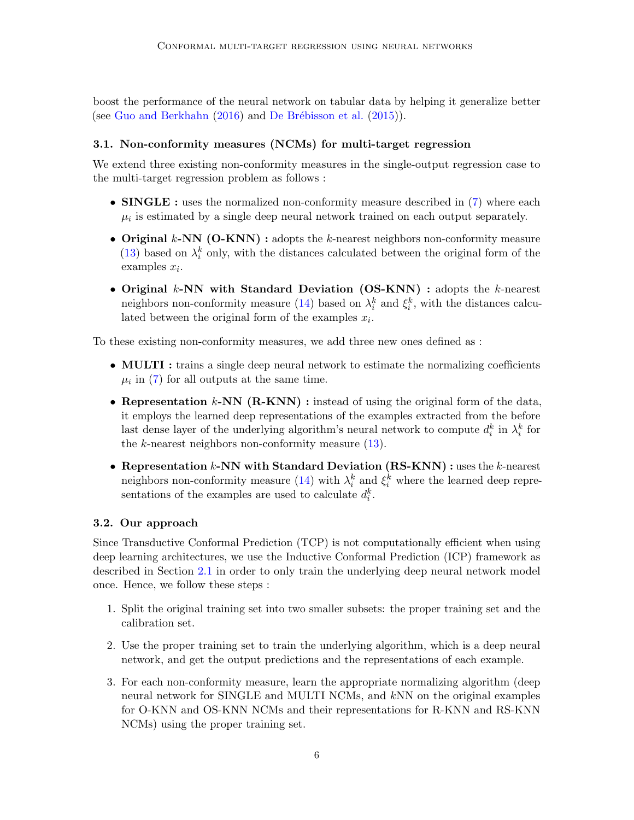boost the performance of the neural network on tabular data by helping it generalize better (see [Guo and Berkhahn](#page-16-5)  $(2016)$  and De Brébisson et al.  $(2015)$ ).

## 3.1. Non-conformity measures (NCMs) for multi-target regression

We extend three existing non-conformity measures in the single-output regression case to the multi-target regression problem as follows :

- **SINGLE**: uses the normalized non-conformity measure described in [\(7\)](#page-3-0) where each  $\mu_i$  is estimated by a single deep neural network trained on each output separately.
- Original  $k$ -NN (O-KNN) : adopts the  $k$ -nearest neighbors non-conformity measure [\(13\)](#page-3-1) based on  $\lambda_i^k$  only, with the distances calculated between the original form of the examples  $x_i$ .
- Original  $k$ -NN with Standard Deviation (OS-KNN) : adopts the  $k$ -nearest neighbors non-conformity measure [\(14\)](#page-3-2) based on  $\lambda_i^k$  and  $\xi_i^k$ , with the distances calculated between the original form of the examples  $x_i$ .

To these existing non-conformity measures, we add three new ones defined as :

- **MULTI**: trains a single deep neural network to estimate the normalizing coefficients  $\mu_i$  in [\(7\)](#page-3-0) for all outputs at the same time.
- Representation  $k\text{-NN}$  (R-KNN) : instead of using the original form of the data, it employs the learned deep representations of the examples extracted from the before last dense layer of the underlying algorithm's neural network to compute  $d_i^k$  in  $\lambda_i^k$  for the  $k$ -nearest neighbors non-conformity measure  $(13)$ .
- Representation  $k$ -NN with Standard Deviation  $(RS-KNN)$  : uses the  $k$ -nearest neighbors non-conformity measure [\(14\)](#page-3-2) with  $\lambda_i^k$  and  $\xi_i^k$  where the learned deep representations of the examples are used to calculate  $d_i^k$ .

## 3.2. Our approach

Since Transductive Conformal Prediction (TCP) is not computationally efficient when using deep learning architectures, we use the Inductive Conformal Prediction (ICP) framework as described in Section [2.1](#page-1-2) in order to only train the underlying deep neural network model once. Hence, we follow these steps :

- 1. Split the original training set into two smaller subsets: the proper training set and the calibration set.
- 2. Use the proper training set to train the underlying algorithm, which is a deep neural network, and get the output predictions and the representations of each example.
- 3. For each non-conformity measure, learn the appropriate normalizing algorithm (deep neural network for SINGLE and MULTI NCMs, and kNN on the original examples for O-KNN and OS-KNN NCMs and their representations for R-KNN and RS-KNN NCMs) using the proper training set.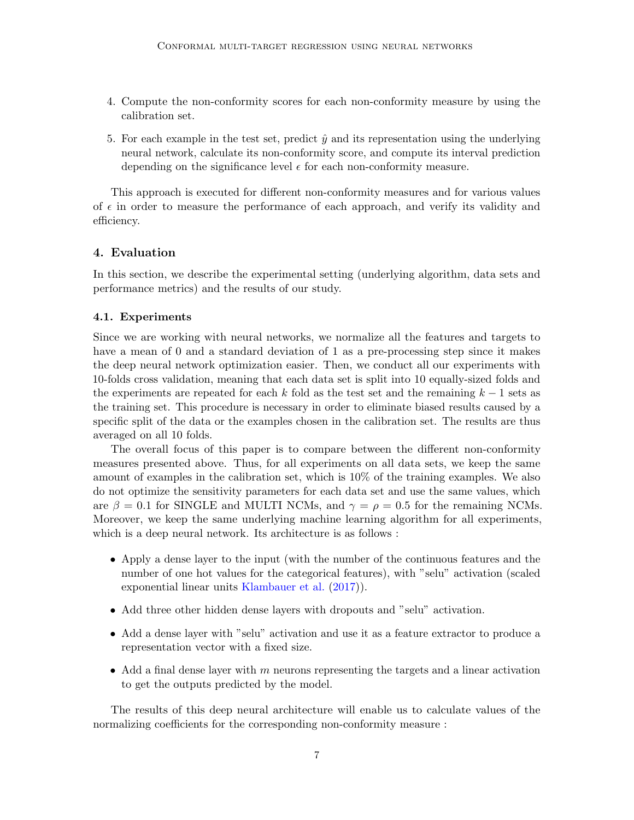- 4. Compute the non-conformity scores for each non-conformity measure by using the calibration set.
- 5. For each example in the test set, predict  $\hat{y}$  and its representation using the underlying neural network, calculate its non-conformity score, and compute its interval prediction depending on the significance level  $\epsilon$  for each non-conformity measure.

This approach is executed for different non-conformity measures and for various values of  $\epsilon$  in order to measure the performance of each approach, and verify its validity and efficiency.

## <span id="page-6-0"></span>4. Evaluation

In this section, we describe the experimental setting (underlying algorithm, data sets and performance metrics) and the results of our study.

#### 4.1. Experiments

Since we are working with neural networks, we normalize all the features and targets to have a mean of 0 and a standard deviation of 1 as a pre-processing step since it makes the deep neural network optimization easier. Then, we conduct all our experiments with 10-folds cross validation, meaning that each data set is split into 10 equally-sized folds and the experiments are repeated for each k fold as the test set and the remaining  $k-1$  sets as the training set. This procedure is necessary in order to eliminate biased results caused by a specific split of the data or the examples chosen in the calibration set. The results are thus averaged on all 10 folds.

The overall focus of this paper is to compare between the different non-conformity measures presented above. Thus, for all experiments on all data sets, we keep the same amount of examples in the calibration set, which is 10% of the training examples. We also do not optimize the sensitivity parameters for each data set and use the same values, which are  $\beta = 0.1$  for SINGLE and MULTI NCMs, and  $\gamma = \rho = 0.5$  for the remaining NCMs. Moreover, we keep the same underlying machine learning algorithm for all experiments, which is a deep neural network. Its architecture is as follows :

- Apply a dense layer to the input (with the number of the continuous features and the number of one hot values for the categorical features), with "selu" activation (scaled exponential linear units [Klambauer et al.](#page-17-10) [\(2017\)](#page-17-10)).
- Add three other hidden dense layers with dropouts and "selu" activation.
- Add a dense layer with "selu" activation and use it as a feature extractor to produce a representation vector with a fixed size.
- Add a final dense layer with  $m$  neurons representing the targets and a linear activation to get the outputs predicted by the model.

The results of this deep neural architecture will enable us to calculate values of the normalizing coefficients for the corresponding non-conformity measure :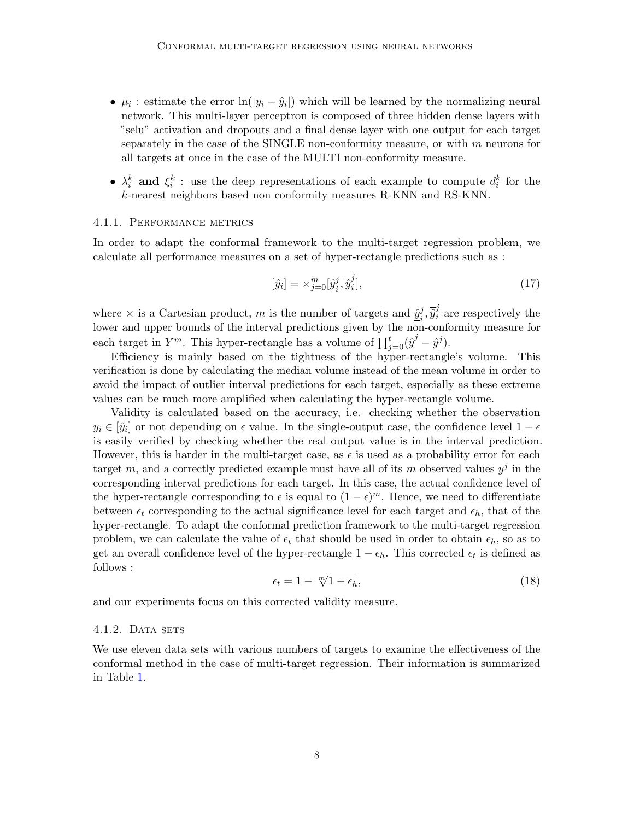- $\mu_i$ : estimate the error  $\ln(|y_i \hat{y}_i|)$  which will be learned by the normalizing neural network. This multi-layer perceptron is composed of three hidden dense layers with "selu" activation and dropouts and a final dense layer with one output for each target separately in the case of the SINGLE non-conformity measure, or with  $m$  neurons for all targets at once in the case of the MULTI non-conformity measure.
- $\lambda_i^k$  and  $\xi_i^k$ : use the deep representations of each example to compute  $d_i^k$  for the k-nearest neighbors based non conformity measures R-KNN and RS-KNN.

#### 4.1.1. Performance metrics

In order to adapt the conformal framework to the multi-target regression problem, we calculate all performance measures on a set of hyper-rectangle predictions such as :

$$
[\hat{y}_i] = \times_{j=0}^m [\hat{\underline{y}}_i^j, \overline{\hat{y}}_i^j],\tag{17}
$$

where  $\times$  is a Cartesian product, m is the number of targets and  $\hat{y}_i^j$  $i, \overline{\hat{y}}_i^j$  are respectively the lower and upper bounds of the interval predictions given by the non-conformity measure for each target in  $Y^m$ . This hyper-rectangle has a volume of  $\prod_{j=0}^t (\overline{\hat{y}}^j - \underline{\hat{y}}^j)$ .

Efficiency is mainly based on the tightness of the hyper-rectangle's volume. This verification is done by calculating the median volume instead of the mean volume in order to avoid the impact of outlier interval predictions for each target, especially as these extreme values can be much more amplified when calculating the hyper-rectangle volume.

Validity is calculated based on the accuracy, i.e. checking whether the observation  $y_i \in [\hat{y}_i]$  or not depending on  $\epsilon$  value. In the single-output case, the confidence level  $1 - \epsilon$ is easily verified by checking whether the real output value is in the interval prediction. However, this is harder in the multi-target case, as  $\epsilon$  is used as a probability error for each target m, and a correctly predicted example must have all of its m observed values  $y^j$  in the corresponding interval predictions for each target. In this case, the actual confidence level of the hyper-rectangle corresponding to  $\epsilon$  is equal to  $(1 - \epsilon)^m$ . Hence, we need to differentiate between  $\epsilon_t$  corresponding to the actual significance level for each target and  $\epsilon_h$ , that of the hyper-rectangle. To adapt the conformal prediction framework to the multi-target regression problem, we can calculate the value of  $\epsilon_t$  that should be used in order to obtain  $\epsilon_h$ , so as to get an overall confidence level of the hyper-rectangle  $1 - \epsilon_h$ . This corrected  $\epsilon_t$  is defined as follows :

$$
\epsilon_t = 1 - \sqrt[m]{1 - \epsilon_h},\tag{18}
$$

and our experiments focus on this corrected validity measure.

#### $4.1.2.$  DATA SETS

We use eleven data sets with various numbers of targets to examine the effectiveness of the conformal method in the case of multi-target regression. Their information is summarized in Table [1.](#page-8-0)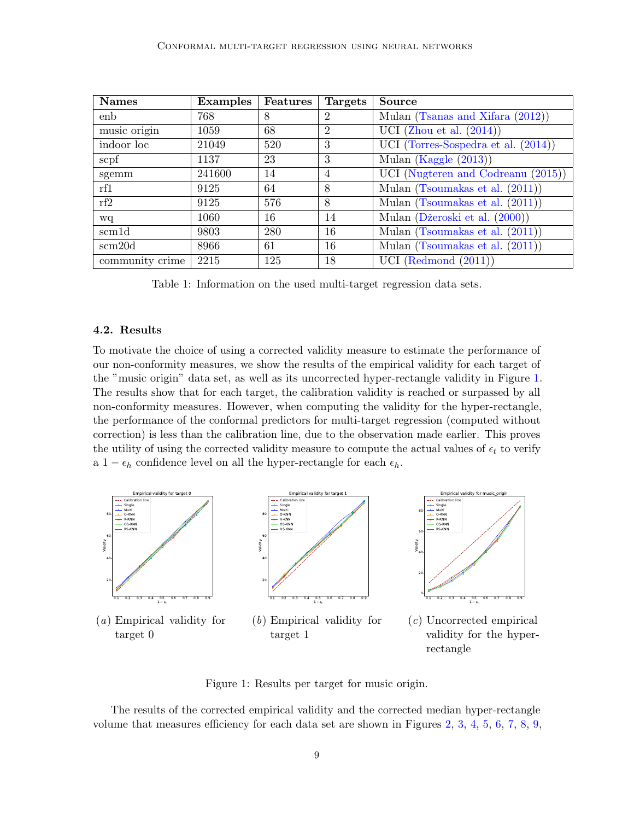| <b>Names</b>    | Examples | Features | <b>Targets</b> | <b>Source</b>                          |  |
|-----------------|----------|----------|----------------|----------------------------------------|--|
| enb             | 768      | 8        | $\overline{2}$ | Mulan (Tsanas and Xifara (2012))       |  |
| music origin    | 1059     | 68       | 2              | UCI (Zhou et al. $(2014)$ )            |  |
| indoor loc      | 21049    | 520      | 3              | UCI (Torres-Sospedra et al. $(2014)$ ) |  |
| scpf            | 1137     | 23       | 3              | Mulan (Kaggle $(2013)$ )               |  |
| sgemm           | 241600   | 14       | $\overline{4}$ | UCI (Nugteren and Codreanu $(2015)$ )  |  |
| rf1             | 9125     | 64       | 8              | Mulan (Tsoumakas et al. $(2011)$ )     |  |
| rf2             | 9125     | 576      | 8              | Mulan (Tsoumakas et al. $(2011)$ )     |  |
| wq              | 1060     | 16       | 14             | Mulan (Džeroski et al. (2000))         |  |
| scm1d           | 9803     | 280      | 16             | Mulan (Tsoumakas et al. $(2011)$ )     |  |
| scm20d          | 8966     | 61       | 16             | Mulan (Tsoumakas et al. (2011))        |  |
| community crime | 2215     | 125      | 18             | UCI (Redmond $(2011)$ )                |  |

<span id="page-8-0"></span>Table 1: Information on the used multi-target regression data sets.

### 4.2. Results

To motivate the choice of using a corrected validity measure to estimate the performance of our non-conformity measures, we show the results of the empirical validity for each target of the "music origin" data set, as well as its uncorrected hyper-rectangle validity in Figure [1.](#page-8-1) The results show that for each target, the calibration validity is reached or surpassed by all non-conformity measures. However, when computing the validity for the hyper-rectangle, the performance of the conformal predictors for multi-target regression (computed without correction) is less than the calibration line, due to the observation made earlier. This proves the utility of using the corrected validity measure to compute the actual values of  $\epsilon_t$  to verify a  $1 - \epsilon_h$  confidence level on all the hyper-rectangle for each  $\epsilon_h$ .



<span id="page-8-1"></span>Figure 1: Results per target for music origin.

The results of the corrected empirical validity and the corrected median hyper-rectangle volume that measures efficiency for each data set are shown in Figures [2,](#page-9-0) [3,](#page-9-1) [4,](#page-10-0) [5,](#page-10-1) [6,](#page-11-0) [7,](#page-11-1) [8,](#page-12-0) [9,](#page-12-1)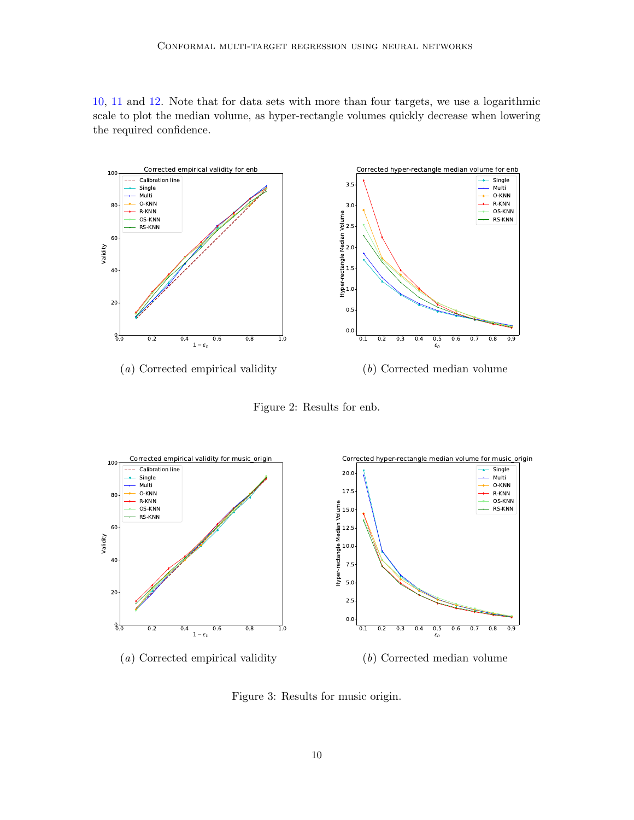[10,](#page-13-0) [11](#page-13-1) and [12.](#page-14-0) Note that for data sets with more than four targets, we use a logarithmic scale to plot the median volume, as hyper-rectangle volumes quickly decrease when lowering the required confidence.



<span id="page-9-0"></span>Figure 2: Results for enb.



<span id="page-9-1"></span>Figure 3: Results for music origin.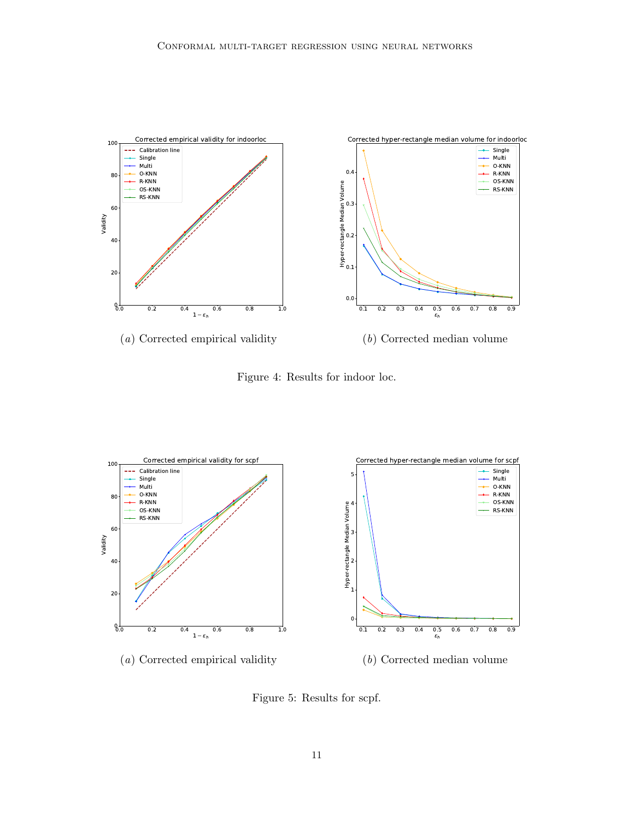

<span id="page-10-0"></span>Figure 4: Results for indoor loc.



<span id="page-10-1"></span>Figure 5: Results for scpf.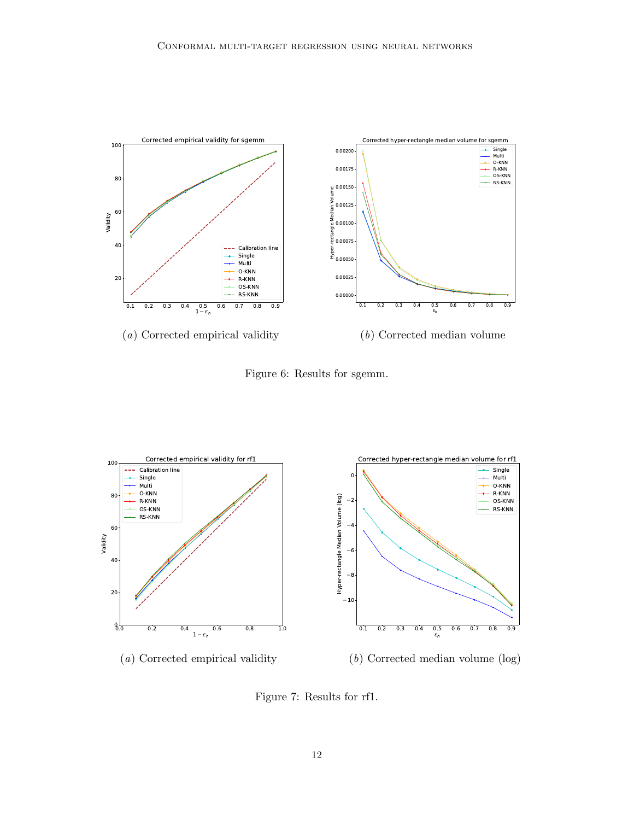

<span id="page-11-0"></span>Figure 6: Results for sgemm.



<span id="page-11-1"></span>Figure 7: Results for rf1.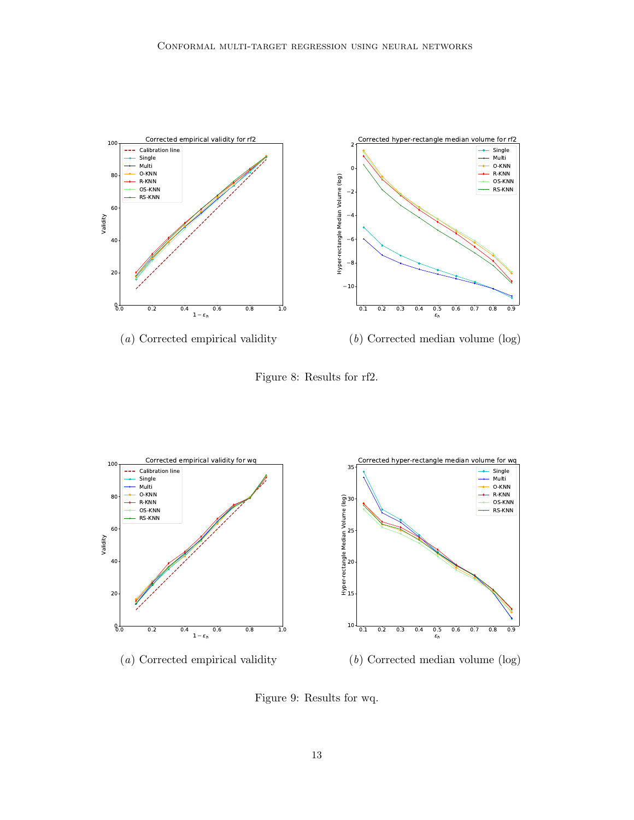

<span id="page-12-0"></span>Figure 8: Results for rf2.



<span id="page-12-1"></span>Figure 9: Results for wq.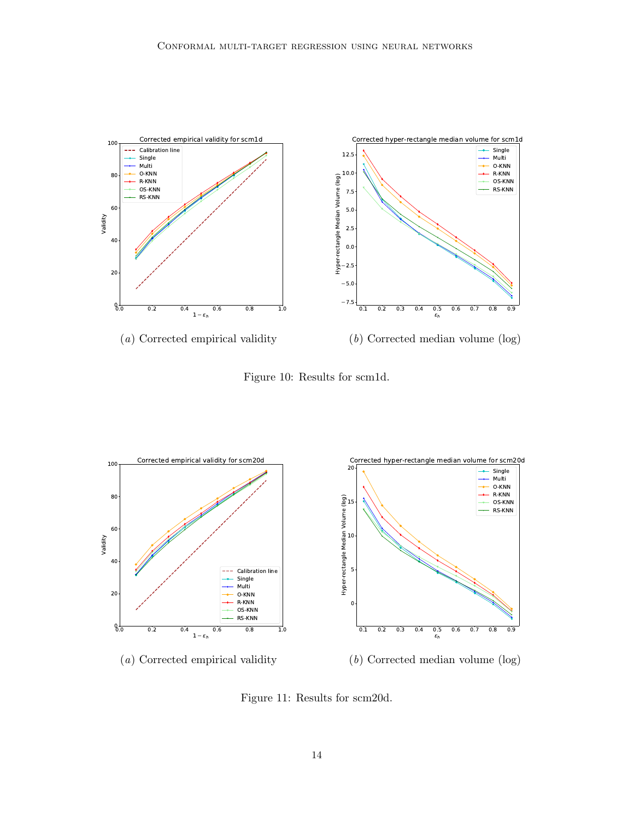

<span id="page-13-0"></span>Figure 10: Results for scm1d.



<span id="page-13-1"></span>Figure 11: Results for scm20d.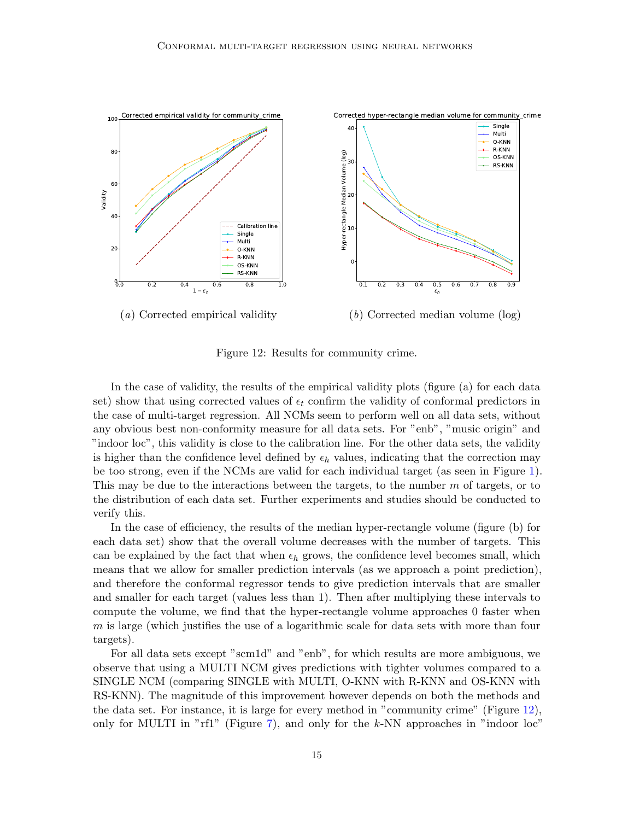

<span id="page-14-0"></span>Figure 12: Results for community crime.

In the case of validity, the results of the empirical validity plots (figure (a) for each data set) show that using corrected values of  $\epsilon_t$  confirm the validity of conformal predictors in the case of multi-target regression. All NCMs seem to perform well on all data sets, without any obvious best non-conformity measure for all data sets. For "enb", "music origin" and "indoor loc", this validity is close to the calibration line. For the other data sets, the validity is higher than the confidence level defined by  $\epsilon_h$  values, indicating that the correction may be too strong, even if the NCMs are valid for each individual target (as seen in Figure [1\)](#page-8-1). This may be due to the interactions between the targets, to the number m of targets, or to the distribution of each data set. Further experiments and studies should be conducted to verify this.

In the case of efficiency, the results of the median hyper-rectangle volume (figure (b) for each data set) show that the overall volume decreases with the number of targets. This can be explained by the fact that when  $\epsilon_h$  grows, the confidence level becomes small, which means that we allow for smaller prediction intervals (as we approach a point prediction), and therefore the conformal regressor tends to give prediction intervals that are smaller and smaller for each target (values less than 1). Then after multiplying these intervals to compute the volume, we find that the hyper-rectangle volume approaches 0 faster when  $m$  is large (which justifies the use of a logarithmic scale for data sets with more than four targets).

For all data sets except "scm1d" and "enb", for which results are more ambiguous, we observe that using a MULTI NCM gives predictions with tighter volumes compared to a SINGLE NCM (comparing SINGLE with MULTI, O-KNN with R-KNN and OS-KNN with RS-KNN). The magnitude of this improvement however depends on both the methods and the data set. For instance, it is large for every method in "community crime" (Figure [12\)](#page-14-0), only for MULTI in "rf1" (Figure [7\)](#page-11-1), and only for the  $k$ -NN approaches in "indoor loc"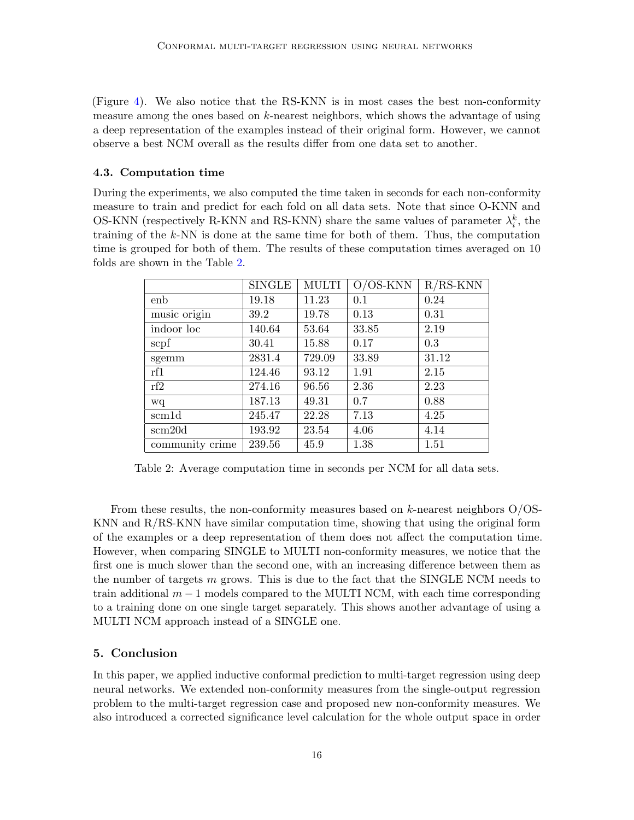(Figure [4\)](#page-10-0). We also notice that the RS-KNN is in most cases the best non-conformity measure among the ones based on  $k$ -nearest neighbors, which shows the advantage of using a deep representation of the examples instead of their original form. However, we cannot observe a best NCM overall as the results differ from one data set to another.

## 4.3. Computation time

During the experiments, we also computed the time taken in seconds for each non-conformity measure to train and predict for each fold on all data sets. Note that since O-KNN and OS-KNN (respectively R-KNN and RS-KNN) share the same values of parameter  $\lambda_i^k$ , the training of the k-NN is done at the same time for both of them. Thus, the computation time is grouped for both of them. The results of these computation times averaged on 10 folds are shown in the Table [2.](#page-15-0)

|                    | <b>SINGLE</b> | <b>MULTI</b> | $O/OS-KNN$ | $R/RS-KNN$ |
|--------------------|---------------|--------------|------------|------------|
| enb                | 19.18         | 11.23        | 0.1        | 0.24       |
| music origin       | 39.2          | 19.78        | 0.13       | 0.31       |
| indoor loc         | 140.64        | 53.64        | 33.85      | 2.19       |
| scpf               | 30.41         | 15.88        | 0.17       | 0.3        |
| sgemm              | 2831.4        | 729.09       | 33.89      | 31.12      |
| rf1                | 124.46        | 93.12        | 1.91       | 2.15       |
| rf2                | 274.16        | 96.56        | 2.36       | 2.23       |
| wq                 | 187.13        | 49.31        | 0.7        | 0.88       |
| scm <sub>1</sub> d | 245.47        | 22.28        | 7.13       | 4.25       |
| scm20d             | 193.92        | 23.54        | 4.06       | 4.14       |
| community crime    | 239.56        | 45.9         | 1.38       | 1.51       |

<span id="page-15-0"></span>Table 2: Average computation time in seconds per NCM for all data sets.

From these results, the non-conformity measures based on  $k$ -nearest neighbors  $O/OS$ -KNN and R/RS-KNN have similar computation time, showing that using the original form of the examples or a deep representation of them does not affect the computation time. However, when comparing SINGLE to MULTI non-conformity measures, we notice that the first one is much slower than the second one, with an increasing difference between them as the number of targets  $m$  grows. This is due to the fact that the SINGLE NCM needs to train additional  $m-1$  models compared to the MULTI NCM, with each time corresponding to a training done on one single target separately. This shows another advantage of using a MULTI NCM approach instead of a SINGLE one.

## 5. Conclusion

In this paper, we applied inductive conformal prediction to multi-target regression using deep neural networks. We extended non-conformity measures from the single-output regression problem to the multi-target regression case and proposed new non-conformity measures. We also introduced a corrected significance level calculation for the whole output space in order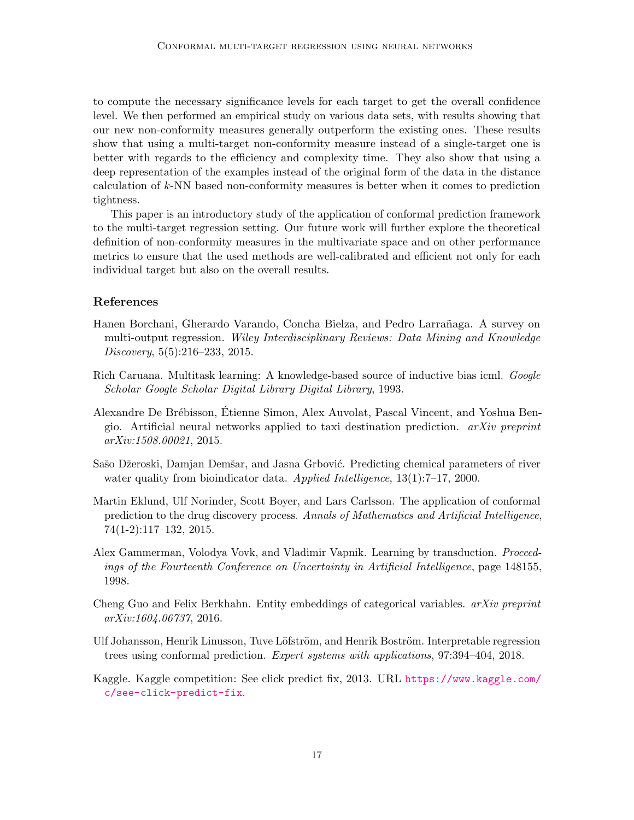to compute the necessary significance levels for each target to get the overall confidence level. We then performed an empirical study on various data sets, with results showing that our new non-conformity measures generally outperform the existing ones. These results show that using a multi-target non-conformity measure instead of a single-target one is better with regards to the efficiency and complexity time. They also show that using a deep representation of the examples instead of the original form of the data in the distance calculation of k-NN based non-conformity measures is better when it comes to prediction tightness.

This paper is an introductory study of the application of conformal prediction framework to the multi-target regression setting. Our future work will further explore the theoretical definition of non-conformity measures in the multivariate space and on other performance metrics to ensure that the used methods are well-calibrated and efficient not only for each individual target but also on the overall results.

## References

- <span id="page-16-0"></span>Hanen Borchani, Gherardo Varando, Concha Bielza, and Pedro Larrañaga. A survey on multi-output regression. Wiley Interdisciplinary Reviews: Data Mining and Knowledge Discovery, 5(5):216–233, 2015.
- <span id="page-16-4"></span>Rich Caruana. Multitask learning: A knowledge-based source of inductive bias icml. Google Scholar Google Scholar Digital Library Digital Library, 1993.
- <span id="page-16-6"></span>Alexandre De Brébisson, Etienne Simon, Alex Auvolat, Pascal Vincent, and Yoshua Bengio. Artificial neural networks applied to taxi destination prediction.  $arXiv$  preprint arXiv:1508.00021, 2015.
- <span id="page-16-8"></span>Sašo Džeroski, Damjan Demšar, and Jasna Grbović. Predicting chemical parameters of river water quality from bioindicator data. Applied Intelligence, 13(1):7–17, 2000.
- <span id="page-16-3"></span>Martin Eklund, Ulf Norinder, Scott Boyer, and Lars Carlsson. The application of conformal prediction to the drug discovery process. Annals of Mathematics and Artificial Intelligence, 74(1-2):117–132, 2015.
- <span id="page-16-1"></span>Alex Gammerman, Volodya Vovk, and Vladimir Vapnik. Learning by transduction. Proceedings of the Fourteenth Conference on Uncertainty in Artificial Intelligence, page 148155, 1998.
- <span id="page-16-5"></span>Cheng Guo and Felix Berkhahn. Entity embeddings of categorical variables.  $arXiv$  preprint arXiv:1604.06737, 2016.
- <span id="page-16-2"></span>Ulf Johansson, Henrik Linusson, Tuve Löfström, and Henrik Boström. Interpretable regression trees using conformal prediction. Expert systems with applications, 97:394–404, 2018.
- <span id="page-16-7"></span>Kaggle. Kaggle competition: See click predict fix, 2013. URL [https://www.kaggle.com/](https://www.kaggle.com/c/see-click-predict-fix) [c/see-click-predict-fix](https://www.kaggle.com/c/see-click-predict-fix).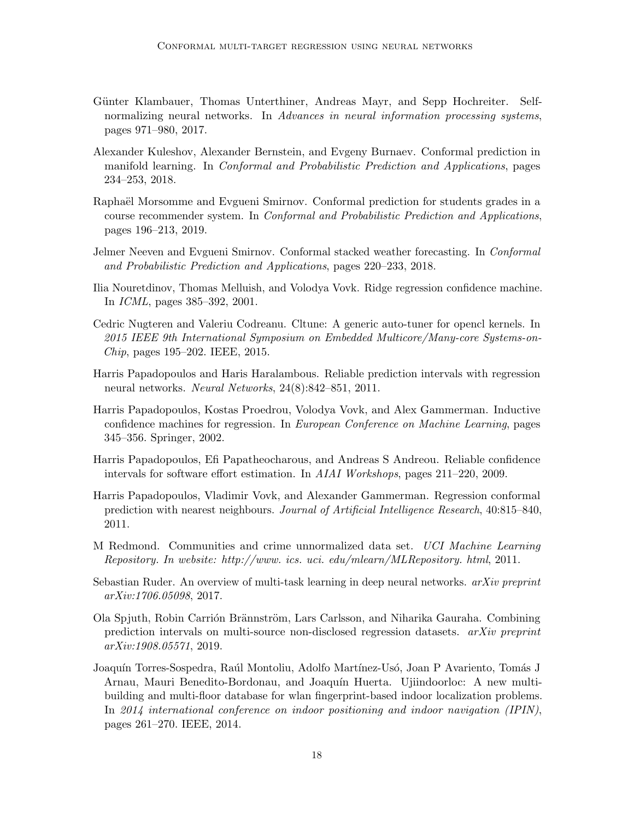- <span id="page-17-10"></span>Günter Klambauer, Thomas Unterthiner, Andreas Mayr, and Sepp Hochreiter. Selfnormalizing neural networks. In Advances in neural information processing systems, pages 971–980, 2017.
- <span id="page-17-7"></span>Alexander Kuleshov, Alexander Bernstein, and Evgeny Burnaev. Conformal prediction in manifold learning. In Conformal and Probabilistic Prediction and Applications, pages 234–253, 2018.
- <span id="page-17-6"></span>Raphaël Morsomme and Evgueni Smirnov. Conformal prediction for students grades in a course recommender system. In Conformal and Probabilistic Prediction and Applications, pages 196–213, 2019.
- <span id="page-17-8"></span>Jelmer Neeven and Evgueni Smirnov. Conformal stacked weather forecasting. In Conformal and Probabilistic Prediction and Applications, pages 220–233, 2018.
- <span id="page-17-3"></span>Ilia Nouretdinov, Thomas Melluish, and Volodya Vovk. Ridge regression confidence machine. In ICML, pages 385–392, 2001.
- <span id="page-17-12"></span>Cedric Nugteren and Valeriu Codreanu. Cltune: A generic auto-tuner for opencl kernels. In 2015 IEEE 9th International Symposium on Embedded Multicore/Many-core Systems-on-Chip, pages 195–202. IEEE, 2015.
- <span id="page-17-1"></span>Harris Papadopoulos and Haris Haralambous. Reliable prediction intervals with regression neural networks. Neural Networks, 24(8):842–851, 2011.
- <span id="page-17-0"></span>Harris Papadopoulos, Kostas Proedrou, Volodya Vovk, and Alex Gammerman. Inductive confidence machines for regression. In European Conference on Machine Learning, pages 345–356. Springer, 2002.
- <span id="page-17-5"></span>Harris Papadopoulos, Efi Papatheocharous, and Andreas S Andreou. Reliable confidence intervals for software effort estimation. In AIAI Workshops, pages 211–220, 2009.
- <span id="page-17-2"></span>Harris Papadopoulos, Vladimir Vovk, and Alexander Gammerman. Regression conformal prediction with nearest neighbours. Journal of Artificial Intelligence Research, 40:815–840, 2011.
- <span id="page-17-13"></span>M Redmond. Communities and crime unnormalized data set. UCI Machine Learning Repository. In website: http://www. ics. uci. edu/mlearn/MLRepository. html, 2011.
- <span id="page-17-9"></span>Sebastian Ruder. An overview of multi-task learning in deep neural networks.  $arXiv$  preprint arXiv:1706.05098, 2017.
- <span id="page-17-4"></span>Ola Spjuth, Robin Carrión Brännström, Lars Carlsson, and Niharika Gauraha. Combining prediction intervals on multi-source non-disclosed regression datasets. arXiv preprint arXiv:1908.05571, 2019.
- <span id="page-17-11"></span>Joaquín Torres-Sospedra, Raúl Montoliu, Adolfo Martínez-Usó, Joan P Avariento, Tomás J Arnau, Mauri Benedito-Bordonau, and Joaquín Huerta. Ujiindoorloc: A new multibuilding and multi-floor database for wlan fingerprint-based indoor localization problems. In 2014 international conference on indoor positioning and indoor navigation (IPIN), pages 261–270. IEEE, 2014.